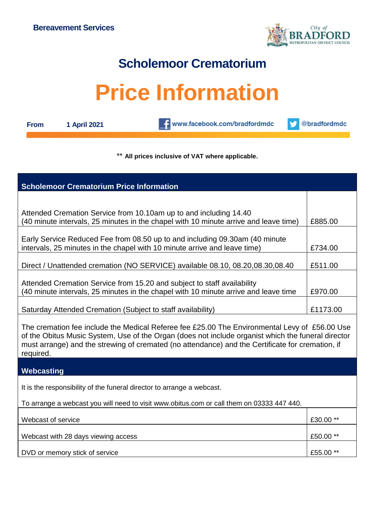

## **Scholemoor Crematorium**

## **Price Information**

| ⊩rom |  |
|------|--|
|      |  |

**From 1 April 2021**

www.facebook.com/bradfordmdc

@bradfordmdc v

## \*\* **All prices inclusive of VAT where applicable.**

| <b>Scholemoor Crematorium Price Information</b>                                                                                                                                                                                                                                                                      |           |  |  |  |
|----------------------------------------------------------------------------------------------------------------------------------------------------------------------------------------------------------------------------------------------------------------------------------------------------------------------|-----------|--|--|--|
|                                                                                                                                                                                                                                                                                                                      |           |  |  |  |
| Attended Cremation Service from 10.10am up to and including 14.40<br>(40 minute intervals, 25 minutes in the chapel with 10 minute arrive and leave time)                                                                                                                                                            |           |  |  |  |
| Early Service Reduced Fee from 08.50 up to and including 09.30am (40 minute<br>intervals, 25 minutes in the chapel with 10 minute arrive and leave time)                                                                                                                                                             |           |  |  |  |
| Direct / Unattended cremation (NO SERVICE) available 08.10, 08.20,08.30,08.40                                                                                                                                                                                                                                        | £511.00   |  |  |  |
| Attended Cremation Service from 15.20 and subject to staff availability<br>(40 minute intervals, 25 minutes in the chapel with 10 minute arrive and leave time                                                                                                                                                       |           |  |  |  |
| Saturday Attended Cremation (Subject to staff availability)                                                                                                                                                                                                                                                          | £1173.00  |  |  |  |
| The cremation fee include the Medical Referee fee £25.00 The Environmental Levy of £56.00 Use<br>of the Obitus Music System, Use of the Organ (does not include organist which the funeral director<br>must arrange) and the strewing of cremated (no attendance) and the Certificate for cremation, if<br>required. |           |  |  |  |
| Webcasting                                                                                                                                                                                                                                                                                                           |           |  |  |  |
| It is the responsibility of the funeral director to arrange a webcast.                                                                                                                                                                                                                                               |           |  |  |  |
| To arrange a webcast you will need to visit www.obitus.com or call them on 03333 447 440.                                                                                                                                                                                                                            |           |  |  |  |
| Webcast of service                                                                                                                                                                                                                                                                                                   | £30.00 ** |  |  |  |
| Webcast with 28 days viewing access                                                                                                                                                                                                                                                                                  | £50.00 ** |  |  |  |
| DVD or memory stick of service                                                                                                                                                                                                                                                                                       | £55.00 ** |  |  |  |